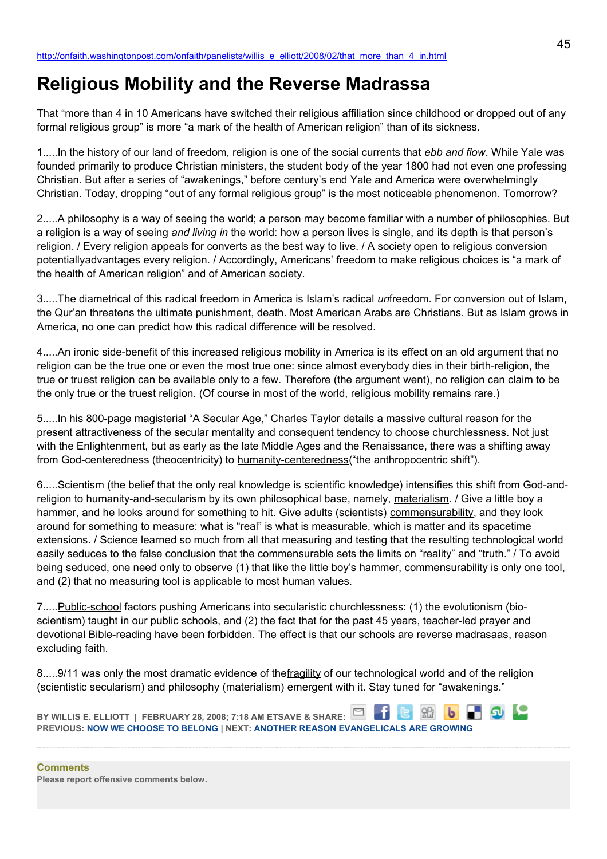# **Religious Mobility and the Reverse Madrassa**

That "more than 4 in 10 Americans have switched their religious affiliation since childhood or dropped out of any formal religious group" is more "a mark of the health of American religion" than of its sickness.

1.....In the history of our land of freedom, religion is one of the social currents that *ebb and flow*. While Yale was founded primarily to produce Christian ministers, the student body of the year 1800 had not even one professing Christian. But after a series of "awakenings," before century's end Yale and America were overwhelmingly Christian. Today, dropping "out of any formal religious group" is the most noticeable phenomenon. Tomorrow?

2.....A philosophy is a way of seeing the world; a person may become familiar with a number of philosophies. But a religion is a way of seeing *and living in* the world: how a person lives is single, and its depth is that person's religion. / Every religion appeals for converts as the best way to live. / A society open to religious conversion potentiallyadvantages every religion. / Accordingly, Americans' freedom to make religious choices is "a mark of the health of American religion" and of American society.

3.....The diametrical of this radical freedom in America is Islam's radical *un*freedom. For conversion out of Islam, the Qur'an threatens the ultimate punishment, death. Most American Arabs are Christians. But as Islam grows in America, no one can predict how this radical difference will be resolved.

4.....An ironic side-benefit of this increased religious mobility in America is its effect on an old argument that no religion can be the true one or even the most true one: since almost everybody dies in their birth-religion, the true or truest religion can be available only to a few. Therefore (the argument went), no religion can claim to be the only true or the truest religion. (Of course in most of the world, religious mobility remains rare.)

5.....In his 800-page magisterial "A Secular Age," Charles Taylor details a massive cultural reason for the present attractiveness of the secular mentality and consequent tendency to choose churchlessness. Not just with the Enlightenment, but as early as the late Middle Ages and the Renaissance, there was a shifting away from God-centeredness (theocentricity) to humanity-centeredness("the anthropocentric shift").

6.....Scientism (the belief that the only real knowledge is scientific knowledge) intensifies this shift from God-andreligion to humanity-and-secularism by its own philosophical base, namely, materialism. / Give a little boy a hammer, and he looks around for something to hit. Give adults (scientists) commensurability, and they look around for something to measure: what is "real" is what is measurable, which is matter and its spacetime extensions. / Science learned so much from all that measuring and testing that the resulting technological world easily seduces to the false conclusion that the commensurable sets the limits on "reality" and "truth." / To avoid being seduced, one need only to observe (1) that like the little boy's hammer, commensurability is only one tool, and (2) that no measuring tool is applicable to most human values.

7.....Public-school factors pushing Americans into secularistic churchlessness: (1) the evolutionism (bioscientism) taught in our public schools, and (2) the fact that for the past 45 years, teacher-led prayer and devotional Bible-reading have been forbidden. The effect is that our schools are reverse madrasaas, reason excluding faith.

8.....9/11 was only the most dramatic evidence of the <u>fragility</u> of our technological world and of the religion (scientistic secularism) and philosophy (materialism) emergent with it. Stay tuned for "awakenings."

**BY WILLIS E. ELLIOTT | FEBRUARY 28, 2008; 7:18 AM ETSAVE & SHARE: PREVIOUS: [NOW WE CHOOSE TO BELONG](http://onfaith.washingtonpost.com/onfaith/panelists/christopher_dickey/2008/02/choosing_to_belong.html) | NEXT: [ANOTHER REASON EVANGELICALS ARE GROWING](http://onfaith.washingtonpost.com/onfaith/panelists/cal_thomas/2008/02/another_reason_evangelicals_ar.html)**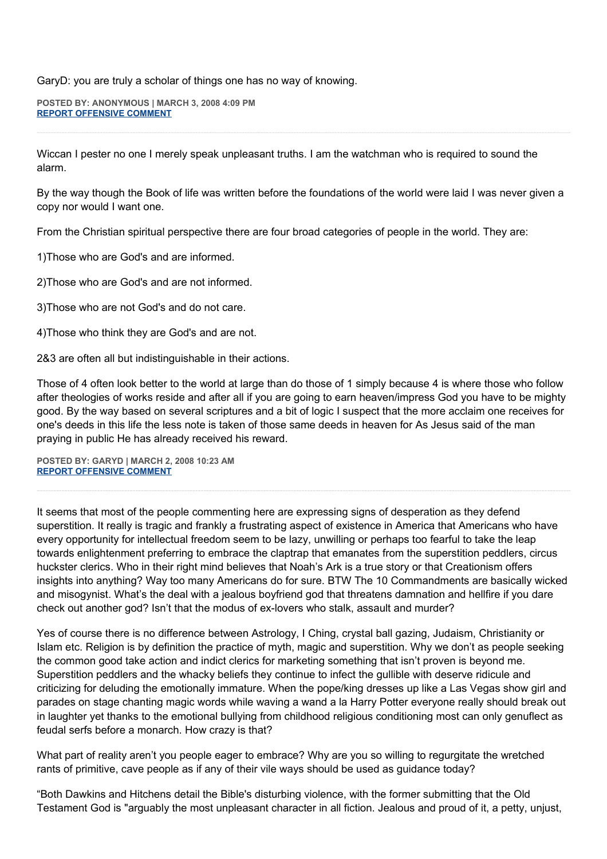GaryD: you are truly a scholar of things one has no way of knowing.

**POSTED BY: ANONYMOUS | MARCH 3, 2008 4:09 PM [REPORT OFFENSIVE COMMENT](mailto:blogs@washingtonpost.com?subject=On%20Faith%20Panelists%20Blog%20%20%7C%20%20Anonymous%20%20%7C%20%20Religious%20Mobiliity%20and%20the%20Reverse%20Madrassa%20%20%7C%20%202654535&body=%0D%0D%0D%0D%0D================%0D?__mode=view%26_type=comment%26id=2654535%26blog_id=618)**

Wiccan I pester no one I merely speak unpleasant truths. I am the watchman who is required to sound the alarm.

By the way though the Book of life was written before the foundations of the world were laid I was never given a copy nor would I want one.

From the Christian spiritual perspective there are four broad categories of people in the world. They are:

1)Those who are God's and are informed.

2)Those who are God's and are not informed.

3)Those who are not God's and do not care.

4)Those who think they are God's and are not.

2&3 are often all but indistinguishable in their actions.

Those of 4 often look better to the world at large than do those of 1 simply because 4 is where those who follow after theologies of works reside and after all if you are going to earn heaven/impress God you have to be mighty good. By the way based on several scriptures and a bit of logic I suspect that the more acclaim one receives for one's deeds in this life the less note is taken of those same deeds in heaven for As Jesus said of the man praying in public He has already received his reward.

**POSTED BY: GARYD | MARCH 2, 2008 10:23 AM [REPORT OFFENSIVE COMMENT](mailto:blogs@washingtonpost.com?subject=On%20Faith%20Panelists%20Blog%20%20%7C%20%20Garyd%20%20%7C%20%20Religious%20Mobiliity%20and%20the%20Reverse%20Madrassa%20%20%7C%20%202642840&body=%0D%0D%0D%0D%0D================%0D?__mode=view%26_type=comment%26id=2642840%26blog_id=618)**

It seems that most of the people commenting here are expressing signs of desperation as they defend superstition. It really is tragic and frankly a frustrating aspect of existence in America that Americans who have every opportunity for intellectual freedom seem to be lazy, unwilling or perhaps too fearful to take the leap towards enlightenment preferring to embrace the claptrap that emanates from the superstition peddlers, circus huckster clerics. Who in their right mind believes that Noah's Ark is a true story or that Creationism offers insights into anything? Way too many Americans do for sure. BTW The 10 Commandments are basically wicked and misogynist. What's the deal with a jealous boyfriend god that threatens damnation and hellfire if you dare check out another god? Isn't that the modus of ex-lovers who stalk, assault and murder?

Yes of course there is no difference between Astrology, I Ching, crystal ball gazing, Judaism, Christianity or Islam etc. Religion is by definition the practice of myth, magic and superstition. Why we don't as people seeking the common good take action and indict clerics for marketing something that isn't proven is beyond me. Superstition peddlers and the whacky beliefs they continue to infect the gullible with deserve ridicule and criticizing for deluding the emotionally immature. When the pope/king dresses up like a Las Vegas show girl and parades on stage chanting magic words while waving a wand a la Harry Potter everyone really should break out in laughter yet thanks to the emotional bullying from childhood religious conditioning most can only genuflect as feudal serfs before a monarch. How crazy is that?

What part of reality aren't you people eager to embrace? Why are you so willing to regurgitate the wretched rants of primitive, cave people as if any of their vile ways should be used as guidance today?

"Both Dawkins and Hitchens detail the Bible's disturbing violence, with the former submitting that the Old Testament God is "arguably the most unpleasant character in all fiction. Jealous and proud of it, a petty, unjust,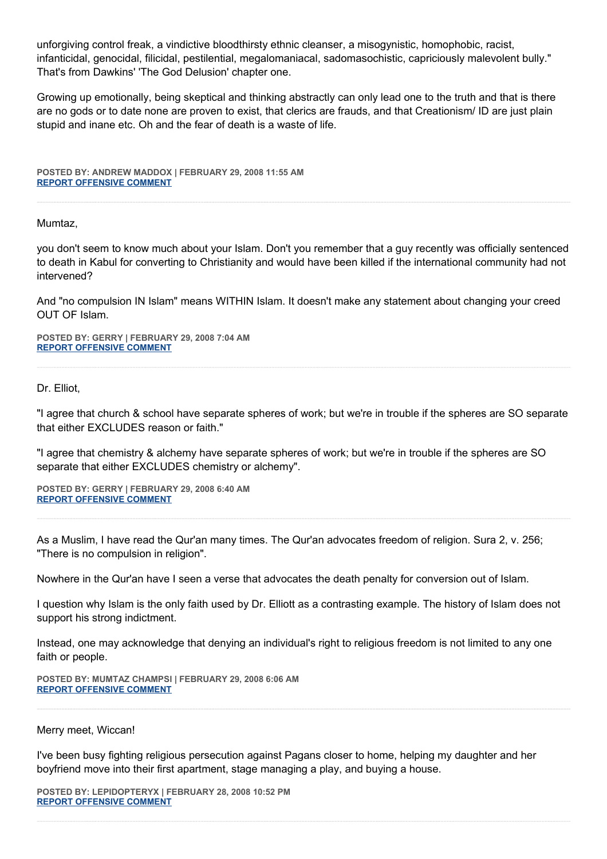unforgiving control freak, a vindictive bloodthirsty ethnic cleanser, a misogynistic, homophobic, racist, infanticidal, genocidal, filicidal, pestilential, megalomaniacal, sadomasochistic, capriciously malevolent bully." That's from Dawkins' 'The God Delusion' chapter one.

Growing up emotionally, being skeptical and thinking abstractly can only lead one to the truth and that is there are no gods or to date none are proven to exist, that clerics are frauds, and that Creationism/ ID are just plain stupid and inane etc. Oh and the fear of death is a waste of life.

**POSTED BY: ANDREW MADDOX | FEBRUARY 29, 2008 11:55 AM [REPORT OFFENSIVE COMMENT](mailto:blogs@washingtonpost.com?subject=On%20Faith%20Panelists%20Blog%20%20%7C%20%20Andrew%20Maddox%20%20%7C%20%20Religious%20Mobiliity%20and%20the%20Reverse%20Madrassa%20%20%7C%20%202621711&body=%0D%0D%0D%0D%0D================%0D?__mode=view%26_type=comment%26id=2621711%26blog_id=618)**

Mumtaz,

you don't seem to know much about your Islam. Don't you remember that a guy recently was officially sentenced to death in Kabul for converting to Christianity and would have been killed if the international community had not intervened?

And "no compulsion IN Islam" means WITHIN Islam. It doesn't make any statement about changing your creed OUT OF Islam.

**POSTED BY: GERRY | FEBRUARY 29, 2008 7:04 AM [REPORT OFFENSIVE COMMENT](mailto:blogs@washingtonpost.com?subject=On%20Faith%20Panelists%20Blog%20%20%7C%20%20Gerry%20%20%7C%20%20Religious%20Mobiliity%20and%20the%20Reverse%20Madrassa%20%20%7C%20%202619414&body=%0D%0D%0D%0D%0D================%0D?__mode=view%26_type=comment%26id=2619414%26blog_id=618)**

Dr. Elliot,

"I agree that church & school have separate spheres of work; but we're in trouble if the spheres are SO separate that either EXCLUDES reason or faith."

"I agree that chemistry & alchemy have separate spheres of work; but we're in trouble if the spheres are SO separate that either EXCLUDES chemistry or alchemy".

**POSTED BY: GERRY | FEBRUARY 29, 2008 6:40 AM [REPORT OFFENSIVE COMMENT](mailto:blogs@washingtonpost.com?subject=On%20Faith%20Panelists%20Blog%20%20%7C%20%20Gerry%20%20%7C%20%20Religious%20Mobiliity%20and%20the%20Reverse%20Madrassa%20%20%7C%20%202619221&body=%0D%0D%0D%0D%0D================%0D?__mode=view%26_type=comment%26id=2619221%26blog_id=618)**

As a Muslim, I have read the Qur'an many times. The Qur'an advocates freedom of religion. Sura 2, v. 256; "There is no compulsion in religion".

Nowhere in the Qur'an have I seen a verse that advocates the death penalty for conversion out of Islam.

I question why Islam is the only faith used by Dr. Elliott as a contrasting example. The history of Islam does not support his strong indictment.

Instead, one may acknowledge that denying an individual's right to religious freedom is not limited to any one faith or people.

**POSTED BY: MUMTAZ CHAMPSI | FEBRUARY 29, 2008 6:06 AM [REPORT OFFENSIVE COMMENT](mailto:blogs@washingtonpost.com?subject=On%20Faith%20Panelists%20Blog%20%20%7C%20%20Mumtaz%20Champsi%20%20%7C%20%20Religious%20Mobiliity%20and%20the%20Reverse%20Madrassa%20%20%7C%20%202618958&body=%0D%0D%0D%0D%0D================%0D?__mode=view%26_type=comment%26id=2618958%26blog_id=618)**

#### Merry meet, Wiccan!

I've been busy fighting religious persecution against Pagans closer to home, helping my daughter and her boyfriend move into their first apartment, stage managing a play, and buying a house.

**POSTED BY: LEPIDOPTERYX | FEBRUARY 28, 2008 10:52 PM [REPORT OFFENSIVE COMMENT](mailto:blogs@washingtonpost.com?subject=On%20Faith%20Panelists%20Blog%20%20%7C%20%20lepidopteryx%20%20%7C%20%20Religious%20Mobiliity%20and%20the%20Reverse%20Madrassa%20%20%7C%20%202615207&body=%0D%0D%0D%0D%0D================%0D?__mode=view%26_type=comment%26id=2615207%26blog_id=618)**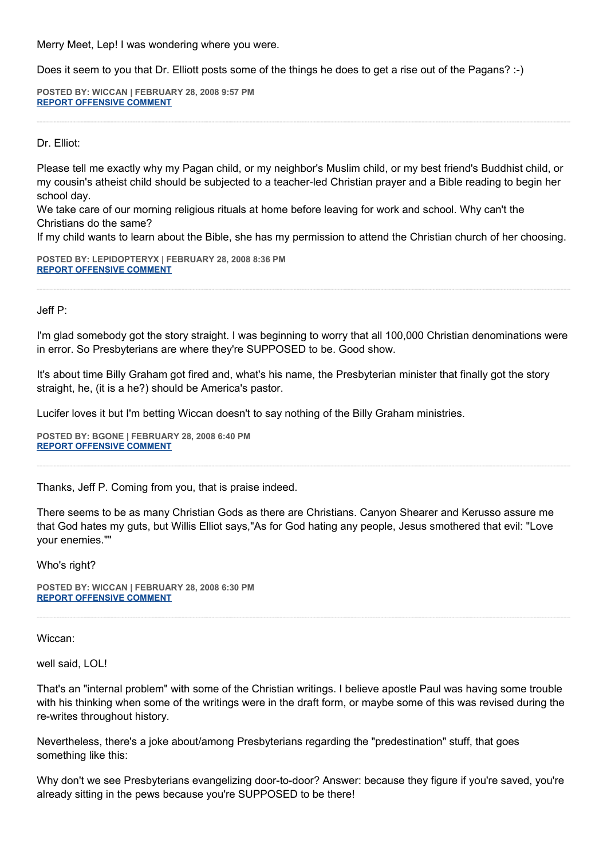Merry Meet, Lep! I was wondering where you were.

Does it seem to you that Dr. Elliott posts some of the things he does to get a rise out of the Pagans? :-)

**POSTED BY: WICCAN | FEBRUARY 28, 2008 9:57 PM [REPORT OFFENSIVE COMMENT](mailto:blogs@washingtonpost.com?subject=On%20Faith%20Panelists%20Blog%20%20%7C%20%20wiccan%20%20%7C%20%20Religious%20Mobiliity%20and%20the%20Reverse%20Madrassa%20%20%7C%20%202614779&body=%0D%0D%0D%0D%0D================%0D?__mode=view%26_type=comment%26id=2614779%26blog_id=618)**

Dr. Elliot:

Please tell me exactly why my Pagan child, or my neighbor's Muslim child, or my best friend's Buddhist child, or my cousin's atheist child should be subjected to a teacher-led Christian prayer and a Bible reading to begin her school day.

We take care of our morning religious rituals at home before leaving for work and school. Why can't the Christians do the same?

If my child wants to learn about the Bible, she has my permission to attend the Christian church of her choosing.

**POSTED BY: LEPIDOPTERYX | FEBRUARY 28, 2008 8:36 PM [REPORT OFFENSIVE COMMENT](mailto:blogs@washingtonpost.com?subject=On%20Faith%20Panelists%20Blog%20%20%7C%20%20lepidopteryx%20%20%7C%20%20Religious%20Mobiliity%20and%20the%20Reverse%20Madrassa%20%20%7C%20%202614201&body=%0D%0D%0D%0D%0D================%0D?__mode=view%26_type=comment%26id=2614201%26blog_id=618)**

Jeff P:

I'm glad somebody got the story straight. I was beginning to worry that all 100,000 Christian denominations were in error. So Presbyterians are where they're SUPPOSED to be. Good show.

It's about time Billy Graham got fired and, what's his name, the Presbyterian minister that finally got the story straight, he, (it is a he?) should be America's pastor.

Lucifer loves it but I'm betting Wiccan doesn't to say nothing of the Billy Graham ministries.

**POSTED BY: BGONE | FEBRUARY 28, 2008 6:40 PM [REPORT OFFENSIVE COMMENT](mailto:blogs@washingtonpost.com?subject=On%20Faith%20Panelists%20Blog%20%20%7C%20%20BGone%20%20%7C%20%20Religious%20Mobiliity%20and%20the%20Reverse%20Madrassa%20%20%7C%20%202613511&body=%0D%0D%0D%0D%0D================%0D?__mode=view%26_type=comment%26id=2613511%26blog_id=618)**

Thanks, Jeff P. Coming from you, that is praise indeed.

There seems to be as many Christian Gods as there are Christians. Canyon Shearer and Kerusso assure me that God hates my guts, but Willis Elliot says,"As for God hating any people, Jesus smothered that evil: "Love your enemies.""

Who's right?

**POSTED BY: WICCAN | FEBRUARY 28, 2008 6:30 PM [REPORT OFFENSIVE COMMENT](mailto:blogs@washingtonpost.com?subject=On%20Faith%20Panelists%20Blog%20%20%7C%20%20wiccan%20%20%7C%20%20Religious%20Mobiliity%20and%20the%20Reverse%20Madrassa%20%20%7C%20%202613444&body=%0D%0D%0D%0D%0D================%0D?__mode=view%26_type=comment%26id=2613444%26blog_id=618)**

Wiccan:

well said, LOL!

That's an "internal problem" with some of the Christian writings. I believe apostle Paul was having some trouble with his thinking when some of the writings were in the draft form, or maybe some of this was revised during the re-writes throughout history.

Nevertheless, there's a joke about/among Presbyterians regarding the "predestination" stuff, that goes something like this:

Why don't we see Presbyterians evangelizing door-to-door? Answer: because they figure if you're saved, you're already sitting in the pews because you're SUPPOSED to be there!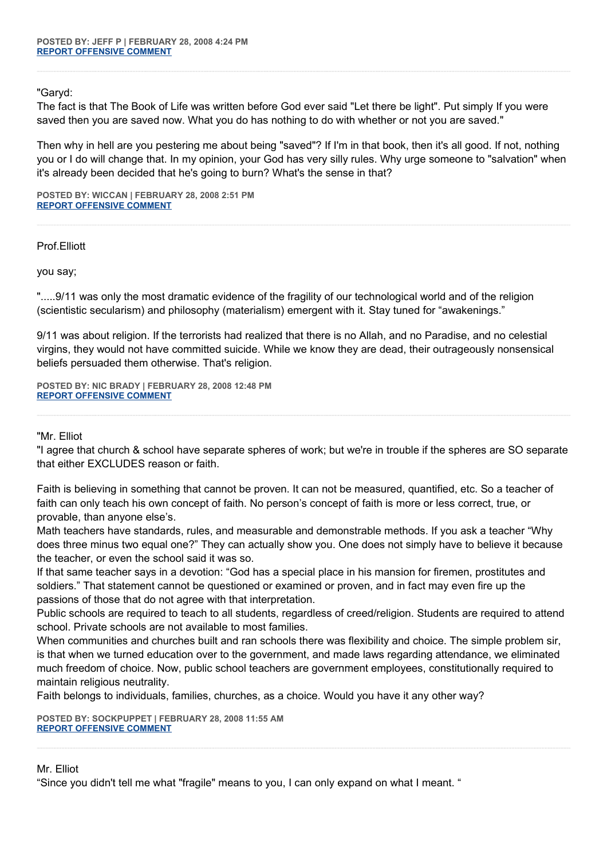"Garyd:

The fact is that The Book of Life was written before God ever said "Let there be light". Put simply If you were saved then you are saved now. What you do has nothing to do with whether or not you are saved."

Then why in hell are you pestering me about being "saved"? If I'm in that book, then it's all good. If not, nothing you or I do will change that. In my opinion, your God has very silly rules. Why urge someone to "salvation" when it's already been decided that he's going to burn? What's the sense in that?

**POSTED BY: WICCAN | FEBRUARY 28, 2008 2:51 PM [REPORT OFFENSIVE COMMENT](mailto:blogs@washingtonpost.com?subject=On%20Faith%20Panelists%20Blog%20%20%7C%20%20wiccan%20%20%7C%20%20Religious%20Mobiliity%20and%20the%20Reverse%20Madrassa%20%20%7C%20%202612245&body=%0D%0D%0D%0D%0D================%0D?__mode=view%26_type=comment%26id=2612245%26blog_id=618)**

Prof.Elliott

you say;

".....9/11 was only the most dramatic evidence of the fragility of our technological world and of the religion (scientistic secularism) and philosophy (materialism) emergent with it. Stay tuned for "awakenings."

9/11 was about religion. If the terrorists had realized that there is no Allah, and no Paradise, and no celestial virgins, they would not have committed suicide. While we know they are dead, their outrageously nonsensical beliefs persuaded them otherwise. That's religion.

**POSTED BY: NIC BRADY | FEBRUARY 28, 2008 12:48 PM [REPORT OFFENSIVE COMMENT](mailto:blogs@washingtonpost.com?subject=On%20Faith%20Panelists%20Blog%20%20%7C%20%20nic%20brady%20%20%7C%20%20Religious%20Mobiliity%20and%20the%20Reverse%20Madrassa%20%20%7C%20%202611549&body=%0D%0D%0D%0D%0D================%0D?__mode=view%26_type=comment%26id=2611549%26blog_id=618)**

"Mr. Elliot

"I agree that church & school have separate spheres of work; but we're in trouble if the spheres are SO separate that either EXCLUDES reason or faith.

Faith is believing in something that cannot be proven. It can not be measured, quantified, etc. So a teacher of faith can only teach his own concept of faith. No person's concept of faith is more or less correct, true, or provable, than anyone else's.

Math teachers have standards, rules, and measurable and demonstrable methods. If you ask a teacher "Why does three minus two equal one?" They can actually show you. One does not simply have to believe it because the teacher, or even the school said it was so.

If that same teacher says in a devotion: "God has a special place in his mansion for firemen, prostitutes and soldiers." That statement cannot be questioned or examined or proven, and in fact may even fire up the passions of those that do not agree with that interpretation.

Public schools are required to teach to all students, regardless of creed/religion. Students are required to attend school. Private schools are not available to most families.

When communities and churches built and ran schools there was flexibility and choice. The simple problem sir, is that when we turned education over to the government, and made laws regarding attendance, we eliminated much freedom of choice. Now, public school teachers are government employees, constitutionally required to maintain religious neutrality.

Faith belongs to individuals, families, churches, as a choice. Would you have it any other way?

**POSTED BY: SOCKPUPPET | FEBRUARY 28, 2008 11:55 AM [REPORT OFFENSIVE COMMENT](mailto:blogs@washingtonpost.com?subject=On%20Faith%20Panelists%20Blog%20%20%7C%20%20SockPuppet%20%20%7C%20%20Religious%20Mobiliity%20and%20the%20Reverse%20Madrassa%20%20%7C%20%202611231&body=%0D%0D%0D%0D%0D================%0D?__mode=view%26_type=comment%26id=2611231%26blog_id=618)**

## Mr. Elliot

"Since you didn't tell me what "fragile" means to you, I can only expand on what I meant. "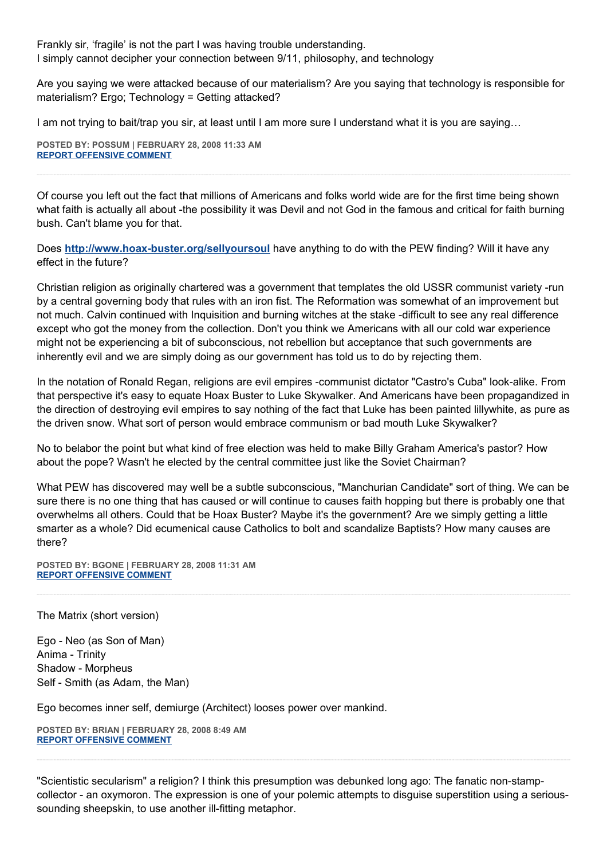Frankly sir, 'fragile' is not the part I was having trouble understanding. I simply cannot decipher your connection between 9/11, philosophy, and technology

Are you saying we were attacked because of our materialism? Are you saying that technology is responsible for materialism? Ergo; Technology = Getting attacked?

I am not trying to bait/trap you sir, at least until I am more sure I understand what it is you are saying…

**POSTED BY: POSSUM | FEBRUARY 28, 2008 11:33 AM [REPORT OFFENSIVE COMMENT](mailto:blogs@washingtonpost.com?subject=On%20Faith%20Panelists%20Blog%20%20%7C%20%20Possum%20%20%7C%20%20Religious%20Mobiliity%20and%20the%20Reverse%20Madrassa%20%20%7C%20%202611103&body=%0D%0D%0D%0D%0D================%0D?__mode=view%26_type=comment%26id=2611103%26blog_id=618)**

Of course you left out the fact that millions of Americans and folks world wide are for the first time being shown what faith is actually all about -the possibility it was Devil and not God in the famous and critical for faith burning bush. Can't blame you for that.

Does **<http://www.hoax-buster.org/sellyoursoul>** have anything to do with the PEW finding? Will it have any effect in the future?

Christian religion as originally chartered was a government that templates the old USSR communist variety -run by a central governing body that rules with an iron fist. The Reformation was somewhat of an improvement but not much. Calvin continued with Inquisition and burning witches at the stake -difficult to see any real difference except who got the money from the collection. Don't you think we Americans with all our cold war experience might not be experiencing a bit of subconscious, not rebellion but acceptance that such governments are inherently evil and we are simply doing as our government has told us to do by rejecting them.

In the notation of Ronald Regan, religions are evil empires -communist dictator "Castro's Cuba" look-alike. From that perspective it's easy to equate Hoax Buster to Luke Skywalker. And Americans have been propagandized in the direction of destroying evil empires to say nothing of the fact that Luke has been painted lillywhite, as pure as the driven snow. What sort of person would embrace communism or bad mouth Luke Skywalker?

No to belabor the point but what kind of free election was held to make Billy Graham America's pastor? How about the pope? Wasn't he elected by the central committee just like the Soviet Chairman?

What PEW has discovered may well be a subtle subconscious, "Manchurian Candidate" sort of thing. We can be sure there is no one thing that has caused or will continue to causes faith hopping but there is probably one that overwhelms all others. Could that be Hoax Buster? Maybe it's the government? Are we simply getting a little smarter as a whole? Did ecumenical cause Catholics to bolt and scandalize Baptists? How many causes are there?

**POSTED BY: BGONE | FEBRUARY 28, 2008 11:31 AM [REPORT OFFENSIVE COMMENT](mailto:blogs@washingtonpost.com?subject=On%20Faith%20Panelists%20Blog%20%20%7C%20%20BGone%20%20%7C%20%20Religious%20Mobiliity%20and%20the%20Reverse%20Madrassa%20%20%7C%20%202611094&body=%0D%0D%0D%0D%0D================%0D?__mode=view%26_type=comment%26id=2611094%26blog_id=618)**

The Matrix (short version)

Ego - Neo (as Son of Man) Anima - Trinity Shadow - Morpheus Self - Smith (as Adam, the Man)

Ego becomes inner self, demiurge (Architect) looses power over mankind.

**POSTED BY: BRIAN | FEBRUARY 28, 2008 8:49 AM [REPORT OFFENSIVE COMMENT](mailto:blogs@washingtonpost.com?subject=On%20Faith%20Panelists%20Blog%20%20%7C%20%20Brian%20%20%7C%20%20Religious%20Mobiliity%20and%20the%20Reverse%20Madrassa%20%20%7C%20%202609643&body=%0D%0D%0D%0D%0D================%0D?__mode=view%26_type=comment%26id=2609643%26blog_id=618)**

"Scientistic secularism" a religion? I think this presumption was debunked long ago: The fanatic non-stampcollector - an oxymoron. The expression is one of your polemic attempts to disguise superstition using a serioussounding sheepskin, to use another ill-fitting metaphor.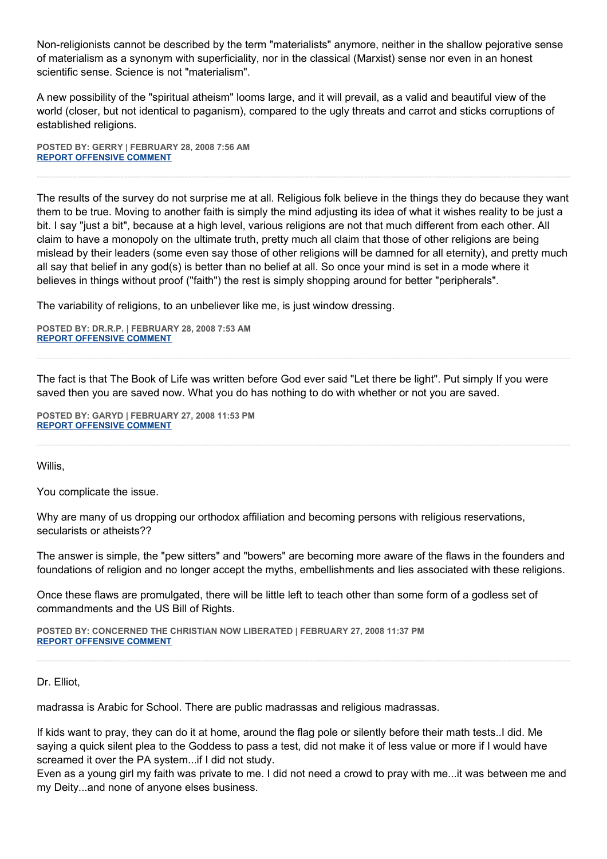Non-religionists cannot be described by the term "materialists" anymore, neither in the shallow pejorative sense of materialism as a synonym with superficiality, nor in the classical (Marxist) sense nor even in an honest scientific sense. Science is not "materialism".

A new possibility of the "spiritual atheism" looms large, and it will prevail, as a valid and beautiful view of the world (closer, but not identical to paganism), compared to the ugly threats and carrot and sticks corruptions of established religions.

**POSTED BY: GERRY | FEBRUARY 28, 2008 7:56 AM [REPORT OFFENSIVE COMMENT](mailto:blogs@washingtonpost.com?subject=On%20Faith%20Panelists%20Blog%20%20%7C%20%20Gerry%20%20%7C%20%20Religious%20Mobiliity%20and%20the%20Reverse%20Madrassa%20%20%7C%20%202609293&body=%0D%0D%0D%0D%0D================%0D?__mode=view%26_type=comment%26id=2609293%26blog_id=618)**

The results of the survey do not surprise me at all. Religious folk believe in the things they do because they want them to be true. Moving to another faith is simply the mind adjusting its idea of what it wishes reality to be just a bit. I say "just a bit", because at a high level, various religions are not that much different from each other. All claim to have a monopoly on the ultimate truth, pretty much all claim that those of other religions are being mislead by their leaders (some even say those of other religions will be damned for all eternity), and pretty much all say that belief in any god(s) is better than no belief at all. So once your mind is set in a mode where it believes in things without proof ("faith") the rest is simply shopping around for better "peripherals".

The variability of religions, to an unbeliever like me, is just window dressing.

**POSTED BY: DR.R.P. | FEBRUARY 28, 2008 7:53 AM [REPORT OFFENSIVE COMMENT](mailto:blogs@washingtonpost.com?subject=On%20Faith%20Panelists%20Blog%20%20%7C%20%20Dr.R.P.%20%20%7C%20%20Religious%20Mobiliity%20and%20the%20Reverse%20Madrassa%20%20%7C%20%202609285&body=%0D%0D%0D%0D%0D================%0D?__mode=view%26_type=comment%26id=2609285%26blog_id=618)**

The fact is that The Book of Life was written before God ever said "Let there be light". Put simply If you were saved then you are saved now. What you do has nothing to do with whether or not you are saved.

**POSTED BY: GARYD | FEBRUARY 27, 2008 11:53 PM [REPORT OFFENSIVE COMMENT](mailto:blogs@washingtonpost.com?subject=On%20Faith%20Panelists%20Blog%20%20%7C%20%20Garyd%20%20%7C%20%20Religious%20Mobiliity%20and%20the%20Reverse%20Madrassa%20%20%7C%20%202606219&body=%0D%0D%0D%0D%0D================%0D?__mode=view%26_type=comment%26id=2606219%26blog_id=618)**

Willis,

You complicate the issue.

Why are many of us dropping our orthodox affiliation and becoming persons with religious reservations, secularists or atheists??

The answer is simple, the "pew sitters" and "bowers" are becoming more aware of the flaws in the founders and foundations of religion and no longer accept the myths, embellishments and lies associated with these religions.

Once these flaws are promulgated, there will be little left to teach other than some form of a godless set of commandments and the US Bill of Rights.

**POSTED BY: CONCERNED THE CHRISTIAN NOW LIBERATED | FEBRUARY 27, 2008 11:37 PM [REPORT OFFENSIVE COMMENT](mailto:blogs@washingtonpost.com?subject=On%20Faith%20Panelists%20Blog%20%20%7C%20%20Concerned%20The%20Christian%20Now%20Liberated%20%20%7C%20%20Religious%20Mobiliity%20and%20the%20Reverse%20Madrassa%20%20%7C%20%202606134&body=%0D%0D%0D%0D%0D================%0D?__mode=view%26_type=comment%26id=2606134%26blog_id=618)**

Dr. Elliot,

madrassa is Arabic for School. There are public madrassas and religious madrassas.

If kids want to pray, they can do it at home, around the flag pole or silently before their math tests..I did. Me saying a quick silent plea to the Goddess to pass a test, did not make it of less value or more if I would have screamed it over the PA system...if I did not study.

Even as a young girl my faith was private to me. I did not need a crowd to pray with me...it was between me and my Deity...and none of anyone elses business.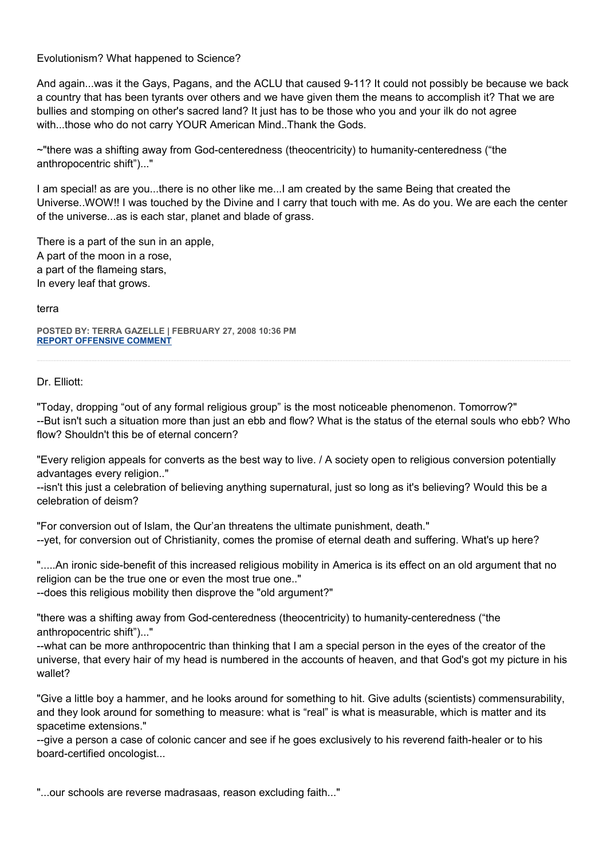Evolutionism? What happened to Science?

And again...was it the Gays, Pagans, and the ACLU that caused 9-11? It could not possibly be because we back a country that has been tyrants over others and we have given them the means to accomplish it? That we are bullies and stomping on other's sacred land? It just has to be those who you and your ilk do not agree with...those who do not carry YOUR American Mind..Thank the Gods.

~"there was a shifting away from God-centeredness (theocentricity) to humanity-centeredness ("the anthropocentric shift")..."

I am special! as are you...there is no other like me...I am created by the same Being that created the Universe..WOW!! I was touched by the Divine and I carry that touch with me. As do you. We are each the center of the universe...as is each star, planet and blade of grass.

There is a part of the sun in an apple, A part of the moon in a rose, a part of the flameing stars, In every leaf that grows.

terra

**POSTED BY: TERRA GAZELLE | FEBRUARY 27, 2008 10:36 PM [REPORT OFFENSIVE COMMENT](mailto:blogs@washingtonpost.com?subject=On%20Faith%20Panelists%20Blog%20%20%7C%20%20Terra%20Gazelle%20%20%7C%20%20Religious%20Mobiliity%20and%20the%20Reverse%20Madrassa%20%20%7C%20%202605774&body=%0D%0D%0D%0D%0D================%0D?__mode=view%26_type=comment%26id=2605774%26blog_id=618)**

## Dr. Elliott:

"Today, dropping "out of any formal religious group" is the most noticeable phenomenon. Tomorrow?" --But isn't such a situation more than just an ebb and flow? What is the status of the eternal souls who ebb? Who flow? Shouldn't this be of eternal concern?

"Every religion appeals for converts as the best way to live. / A society open to religious conversion potentially advantages every religion.."

--isn't this just a celebration of believing anything supernatural, just so long as it's believing? Would this be a celebration of deism?

"For conversion out of Islam, the Qur'an threatens the ultimate punishment, death." --yet, for conversion out of Christianity, comes the promise of eternal death and suffering. What's up here?

".....An ironic side-benefit of this increased religious mobility in America is its effect on an old argument that no religion can be the true one or even the most true one.."

--does this religious mobility then disprove the "old argument?"

"there was a shifting away from God-centeredness (theocentricity) to humanity-centeredness ("the anthropocentric shift")..."

--what can be more anthropocentric than thinking that I am a special person in the eyes of the creator of the universe, that every hair of my head is numbered in the accounts of heaven, and that God's got my picture in his wallet?

"Give a little boy a hammer, and he looks around for something to hit. Give adults (scientists) commensurability, and they look around for something to measure: what is "real" is what is measurable, which is matter and its spacetime extensions."

--give a person a case of colonic cancer and see if he goes exclusively to his reverend faith-healer or to his board-certified oncologist...

"...our schools are reverse madrasaas, reason excluding faith..."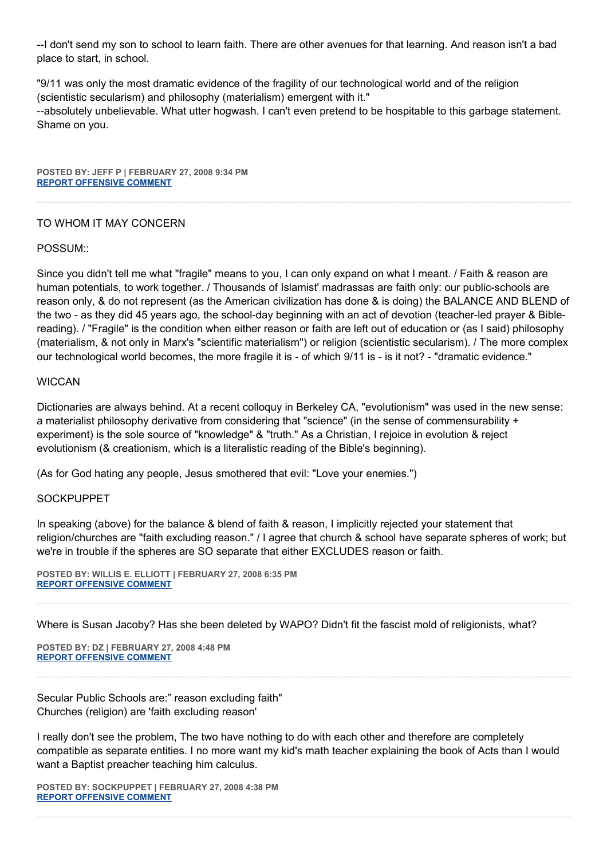--I don't send my son to school to learn faith. There are other avenues for that learning. And reason isn't a bad place to start, in school.

"9/11 was only the most dramatic evidence of the fragility of our technological world and of the religion (scientistic secularism) and philosophy (materialism) emergent with it." --absolutely unbelievable. What utter hogwash. I can't even pretend to be hospitable to this garbage statement. Shame on you.

**POSTED BY: JEFF P | FEBRUARY 27, 2008 9:34 PM [REPORT OFFENSIVE COMMENT](mailto:blogs@washingtonpost.com?subject=On%20Faith%20Panelists%20Blog%20%20%7C%20%20Jeff%20P%20%20%7C%20%20Religious%20Mobiliity%20and%20the%20Reverse%20Madrassa%20%20%7C%20%202605365&body=%0D%0D%0D%0D%0D================%0D?__mode=view%26_type=comment%26id=2605365%26blog_id=618)**

## TO WHOM IT MAY CONCERN

## POSSUM::

Since you didn't tell me what "fragile" means to you, I can only expand on what I meant. / Faith & reason are human potentials, to work together. / Thousands of Islamist' madrassas are faith only: our public-schools are reason only, & do not represent (as the American civilization has done & is doing) the BALANCE AND BLEND of the two - as they did 45 years ago, the school-day beginning with an act of devotion (teacher-led prayer & Biblereading). / "Fragile" is the condition when either reason or faith are left out of education or (as I said) philosophy (materialism, & not only in Marx's "scientific materialism") or religion (scientistic secularism). / The more complex our technological world becomes, the more fragile it is - of which 9/11 is - is it not? - "dramatic evidence."

## **WICCAN**

Dictionaries are always behind. At a recent colloquy in Berkeley CA, "evolutionism" was used in the new sense: a materialist philosophy derivative from considering that "science" (in the sense of commensurability + experiment) is the sole source of "knowledge" & "truth." As a Christian, I rejoice in evolution & reject evolutionism (& creationism, which is a literalistic reading of the Bible's beginning).

(As for God hating any people, Jesus smothered that evil: "Love your enemies.")

## **SOCKPUPPET**

In speaking (above) for the balance & blend of faith & reason, I implicitly rejected your statement that religion/churches are "faith excluding reason." / I agree that church & school have separate spheres of work; but we're in trouble if the spheres are SO separate that either EXCLUDES reason or faith.

**POSTED BY: WILLIS E. ELLIOTT | FEBRUARY 27, 2008 6:35 PM [REPORT OFFENSIVE COMMENT](mailto:blogs@washingtonpost.com?subject=On%20Faith%20Panelists%20Blog%20%20%7C%20%20Willis%20E.%20Elliott%20%20%7C%20%20Religious%20Mobiliity%20and%20the%20Reverse%20Madrassa%20%20%7C%20%202603930&body=%0D%0D%0D%0D%0D================%0D?__mode=view%26_type=comment%26id=2603930%26blog_id=618)**

Where is Susan Jacoby? Has she been deleted by WAPO? Didn't fit the fascist mold of religionists, what?

**POSTED BY: DZ | FEBRUARY 27, 2008 4:48 PM [REPORT OFFENSIVE COMMENT](mailto:blogs@washingtonpost.com?subject=On%20Faith%20Panelists%20Blog%20%20%7C%20%20DZ%20%20%7C%20%20Religious%20Mobiliity%20and%20the%20Reverse%20Madrassa%20%20%7C%20%202603014&body=%0D%0D%0D%0D%0D================%0D?__mode=view%26_type=comment%26id=2603014%26blog_id=618)**

Secular Public Schools are:" reason excluding faith" Churches (religion) are 'faith excluding reason'

I really don't see the problem, The two have nothing to do with each other and therefore are completely compatible as separate entities. I no more want my kid's math teacher explaining the book of Acts than I would want a Baptist preacher teaching him calculus.

**POSTED BY: SOCKPUPPET | FEBRUARY 27, 2008 4:38 PM [REPORT OFFENSIVE COMMENT](mailto:blogs@washingtonpost.com?subject=On%20Faith%20Panelists%20Blog%20%20%7C%20%20SockPuppet%20%20%7C%20%20Religious%20Mobiliity%20and%20the%20Reverse%20Madrassa%20%20%7C%20%202602930&body=%0D%0D%0D%0D%0D================%0D?__mode=view%26_type=comment%26id=2602930%26blog_id=618)**